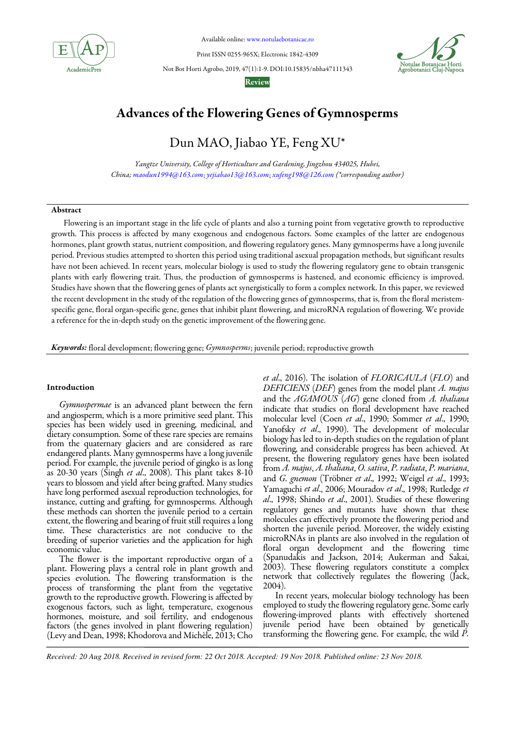

Available online: www.notulaebotanicae.ro

Print ISSN 0255-965X; Electronic 1842-4309

Not Bot Horti Agrobo, 2019, 47(1):1-9. DOI:10.15835/nbha47111343



# Review

# Advances of the Flowering Genes of Gymnosperms

Dun MAO, Jiabao YE, Feng XU\*

*Yangtze University, College of Horticulture and Gardening, Jingzhou 434025, Hubei, China; maodun1994@163.com*; *yejiabao13@163.com*; *xufeng198@126.com (\*corresponding author)* 

## Abstract

Flowering is an important stage in the life cycle of plants and also a turning point from vegetative growth to reproductive growth. This process is affected by many exogenous and endogenous factors. Some examples of the latter are endogenous hormones, plant growth status, nutrient composition, and flowering regulatory genes. Many gymnosperms have a long juvenile period. Previous studies attempted to shorten this period using traditional asexual propagation methods, but significant results have not been achieved. In recent years, molecular biology is used to study the flowering regulatory gene to obtain transgenic plants with early flowering trait. Thus, the production of gymnosperms is hastened, and economic efficiency is improved. Studies have shown that the flowering genes of plants act synergistically to form a complex network. In this paper, we reviewed the recent development in the study of the regulation of the flowering genes of gymnosperms, that is, from the floral meristemspecific gene, floral organ-specific gene, genes that inhibit plant flowering, and microRNA regulation of flowering. We provide a reference for the in-depth study on the genetic improvement of the flowering gene.

Keywords:floral development; flowering gene; *Gymnosperms*; juvenile period; reproductive growth

#### Introduction

*Gymnospermae* is an advanced plant between the fern and angiosperm, which is a more primitive seed plant. This species has been widely used in greening, medicinal, and dietary consumption. Some of these rare species are remains from the quaternary glaciers and are considered as rare endangered plants. Many gymnosperms have a long juvenile period. For example, the juvenile period of gingko is as long as 20-30 years (Singh *et al*., 2008). This plant takes 8-10 years to blossom and yield after being grafted. Many studies have long performed asexual reproduction technologies, for instance, cutting and grafting, for gymnosperms. Although these methods can shorten the juvenile period to a certain extent, the flowering and bearing of fruit still requires a long time. These characteristics are not conducive to the breeding of superior varieties and the application for high economic value.

The flower is the important reproductive organ of a plant. Flowering plays a central role in plant growth and species evolution. The flowering transformation is the process of transforming the plant from the vegetative growth to the reproductive growth. Flowering is affected by exogenous factors, such as light, temperature, exogenous hormones, moisture, and soil fertility, and endogenous factors (the genes involved in plant flowering regulation) (Levy and Dean, 1998; Khodorova and Michèle, 2013; Cho

*et al*., 2016). The isolation of *FLORICAULA* (*FLO*) and *DEFICIENS* (*DEF*) genes from the model plant *A. majus* and the *AGAMOUS* (*AG*) gene cloned from *A. thaliana* indicate that studies on floral development have reached molecular level (Coen *et al*., 1990; Sommer *et al*., 1990; Yanofsky *et al*., 1990). The development of molecular biology has led to in-depth studies on the regulation of plant flowering, and considerable progress has been achieved. At present, the flowering regulatory genes have been isolated from *A. majus*, *A. thaliana*, *O. sativa*, *P. radiata*, *P. mariana*, and *G. gnemon* (Tröbner *et al*., 1992; Weigel *et al*., 1993; Yamaguchi *et al*., 2006; Mouradov *et al*., 1998; Rutledge *et al*., 1998; Shindo *et al*., 2001). Studies of these flowering regulatory genes and mutants have shown that these molecules can effectively promote the flowering period and shorten the juvenile period. Moreover, the widely existing microRNAs in plants are also involved in the regulation of floral organ development and the flowering time (Spanudakis and Jackson, 2014; Aukerman and Sakai, 2003). These flowering regulators constitute a complex network that collectively regulates the flowering (Jack, 2004).

In recent years, molecular biology technology has been employed to study the flowering regulatory gene. Some early flowering-improved plants with effectively shortened juvenile period have been obtained by genetically transforming the flowering gene. For example, the wild *P.* 

*Received: 20 Aug 2018. Received in revised form: 22 Oct 2018. Accepted: 19 Nov 2018. Published online: 23 Nov 2018.*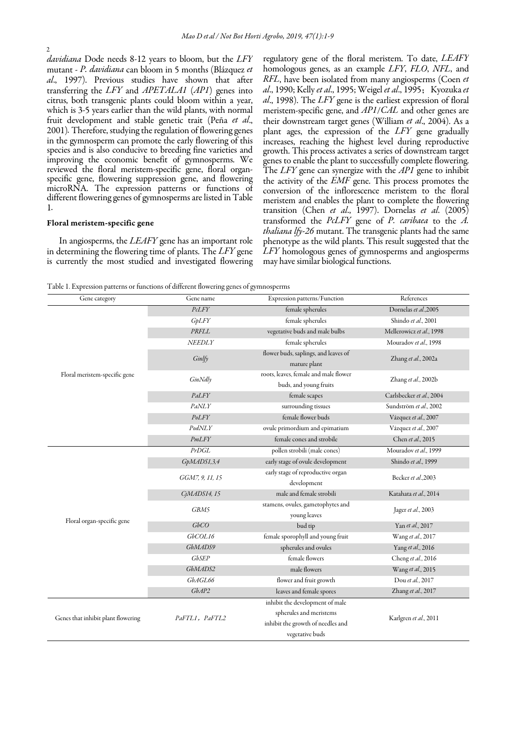*davidiana* Dode needs 8-12 years to bloom, but the *LFY* mutant - *P. davidiana* can bloom in 5 months (Blázquez *et al*., 1997). Previous studies have shown that after transferring the *LFY* and *APETALA1* (*AP1*) genes into citrus, both transgenic plants could bloom within a year, which is 3-5 years earlier than the wild plants, with normal fruit development and stable genetic trait (Peña *et al*., 2001)*.* Therefore, studying the regulation of flowering genes in the gymnosperm can promote the early flowering of this species and is also conducive to breeding fine varieties and improving the economic benefit of gymnosperms. We reviewed the floral meristem-specific gene, floral organspecific gene, flowering suppression gene, and flowering microRNA. The expression patterns or functions of different flowering genes of gymnosperms are listed in Table 1*.*

# Floral meristem-specific gene

In angiosperms, the *LEAFY* gene has an important role in determining the flowering time of plants. The *LFY* gene is currently the most studied and investigated flowering

regulatory gene of the floral meristem. To date, *LEAFY* homologous genes, as an example *LFY*, *FLO*, *NFL*, and *RFL*, have been isolated from many angiosperms (Coen *et al.*, 1990; Kelly *et al.*, 1995; Weigel *et al.*, 1995; Kyozuka *et al*., 1998). The *LFY* gene is the earliest expression of floral meristem-specific gene, and *AP1*/*CAL* and other genes are their downstream target genes (William *et al*., 2004). As a plant ages, the expression of the *LFY* gene gradually increases, reaching the highest level during reproductive growth. This process activates a series of downstream target genes to enable the plant to successfully complete flowering. The *LFY* gene can synergize with the *AP1* gene to inhibit the activity of the *EMF* gene. This process promotes the conversion of the inflorescence meristem to the floral meristem and enables the plant to complete the flowering transition (Chen *et al*., 1997). Dornelas *et al*. (2005) transformed the *PcLFY* gene of *P. caribaea* to the *A. thaliana lfy-26* mutant. The transgenic plants had the same phenotype as the wild plants. This result suggested that the *LFY* homologous genes of gymnosperms and angiosperms may have similar biological functions.

Table 1. Expression patterns or functions of different flowering genes of gymnosperms

| Gene category                      | Gene name      | Expression patterns/Function                                                                                                                                                                                                                                                                                                                                                                                                                                                                                                                                                                                                                                                                                                                                                                                                                                                                                                                                                                                                                          | References               |  |
|------------------------------------|----------------|-------------------------------------------------------------------------------------------------------------------------------------------------------------------------------------------------------------------------------------------------------------------------------------------------------------------------------------------------------------------------------------------------------------------------------------------------------------------------------------------------------------------------------------------------------------------------------------------------------------------------------------------------------------------------------------------------------------------------------------------------------------------------------------------------------------------------------------------------------------------------------------------------------------------------------------------------------------------------------------------------------------------------------------------------------|--------------------------|--|
|                                    | PcLFY          | female spherules                                                                                                                                                                                                                                                                                                                                                                                                                                                                                                                                                                                                                                                                                                                                                                                                                                                                                                                                                                                                                                      | Dornelas et al.,2005     |  |
|                                    | <b>GpLFY</b>   | female spherules                                                                                                                                                                                                                                                                                                                                                                                                                                                                                                                                                                                                                                                                                                                                                                                                                                                                                                                                                                                                                                      | Shindo et al., 2001      |  |
|                                    | PRFLL          | vegetative buds and male bulbs<br>NEEDLY<br>female spherules<br>flower buds, saplings, and leaves of<br>Ginlfy<br>mature plant<br>roots, leaves, female and male flower<br>GinNdly<br>buds, and young fruits<br>PaLFY<br>female scapes<br><b>PaNLY</b><br>surrounding tissues<br>female flower buds<br>PoLFY<br>PodNLY<br>ovule primordium and epimatium<br>female cones and strobile<br>PmLFY<br><b>PrDGL</b><br>pollen strobili (male cones)<br>GpMADS1,3,4<br>early stage of ovule development<br>early stage of reproductive organ<br>GGM7, 9, 11, 15<br>development<br>male and female strobili<br>CjMADS14, 15<br>stamens, ovules, gametophytes and<br>GBM5<br>young leaves<br>GbCO<br>bud tip<br>GbCOL16<br>female sporophyll and young fruit<br>GbMADS9<br>spherules and ovules<br><b>GbSEP</b><br>female flowers<br>GbMADS2<br>male flowers<br>GbAGL66<br>flower and fruit growth<br>GbAP2<br>leaves and female spores<br>inhibit the development of male<br>spherules and meristems<br>inhibit the growth of needles and<br>vegetative buds | Mellerowicz et al., 1998 |  |
|                                    | PaFTL1, PaFTL2 | Mouradov et al., 1998                                                                                                                                                                                                                                                                                                                                                                                                                                                                                                                                                                                                                                                                                                                                                                                                                                                                                                                                                                                                                                 |                          |  |
|                                    |                |                                                                                                                                                                                                                                                                                                                                                                                                                                                                                                                                                                                                                                                                                                                                                                                                                                                                                                                                                                                                                                                       | Zhang et al., 2002a      |  |
| Floral meristem-specific gene      |                | $\sigma$<br>O,                                                                                                                                                                                                                                                                                                                                                                                                                                                                                                                                                                                                                                                                                                                                                                                                                                                                                                                                                                                                                                        | Zhang et al., 2002b      |  |
|                                    |                |                                                                                                                                                                                                                                                                                                                                                                                                                                                                                                                                                                                                                                                                                                                                                                                                                                                                                                                                                                                                                                                       | Carlsbecker et al., 2004 |  |
|                                    |                |                                                                                                                                                                                                                                                                                                                                                                                                                                                                                                                                                                                                                                                                                                                                                                                                                                                                                                                                                                                                                                                       | Sundström et al., 2002   |  |
|                                    |                |                                                                                                                                                                                                                                                                                                                                                                                                                                                                                                                                                                                                                                                                                                                                                                                                                                                                                                                                                                                                                                                       | Vázquez et al., 2007     |  |
|                                    |                |                                                                                                                                                                                                                                                                                                                                                                                                                                                                                                                                                                                                                                                                                                                                                                                                                                                                                                                                                                                                                                                       | Vázquez et al., 2007     |  |
|                                    |                |                                                                                                                                                                                                                                                                                                                                                                                                                                                                                                                                                                                                                                                                                                                                                                                                                                                                                                                                                                                                                                                       | Chen et al., 2015        |  |
|                                    |                |                                                                                                                                                                                                                                                                                                                                                                                                                                                                                                                                                                                                                                                                                                                                                                                                                                                                                                                                                                                                                                                       | Mouradov et al., 1999    |  |
|                                    |                |                                                                                                                                                                                                                                                                                                                                                                                                                                                                                                                                                                                                                                                                                                                                                                                                                                                                                                                                                                                                                                                       | Shindo et al., 1999      |  |
|                                    |                |                                                                                                                                                                                                                                                                                                                                                                                                                                                                                                                                                                                                                                                                                                                                                                                                                                                                                                                                                                                                                                                       | Becker et al., 2003      |  |
|                                    |                |                                                                                                                                                                                                                                                                                                                                                                                                                                                                                                                                                                                                                                                                                                                                                                                                                                                                                                                                                                                                                                                       | Katahata et al., 2014    |  |
|                                    |                |                                                                                                                                                                                                                                                                                                                                                                                                                                                                                                                                                                                                                                                                                                                                                                                                                                                                                                                                                                                                                                                       | Jager et al., 2003       |  |
| Floral organ-specific gene         |                |                                                                                                                                                                                                                                                                                                                                                                                                                                                                                                                                                                                                                                                                                                                                                                                                                                                                                                                                                                                                                                                       | Yan et al., 2017         |  |
|                                    |                |                                                                                                                                                                                                                                                                                                                                                                                                                                                                                                                                                                                                                                                                                                                                                                                                                                                                                                                                                                                                                                                       | Wang et al., 2017        |  |
|                                    |                |                                                                                                                                                                                                                                                                                                                                                                                                                                                                                                                                                                                                                                                                                                                                                                                                                                                                                                                                                                                                                                                       | Yang et al., 2016        |  |
|                                    |                | Cheng et al., 2016                                                                                                                                                                                                                                                                                                                                                                                                                                                                                                                                                                                                                                                                                                                                                                                                                                                                                                                                                                                                                                    |                          |  |
|                                    |                |                                                                                                                                                                                                                                                                                                                                                                                                                                                                                                                                                                                                                                                                                                                                                                                                                                                                                                                                                                                                                                                       | Wang et al., 2015        |  |
|                                    |                |                                                                                                                                                                                                                                                                                                                                                                                                                                                                                                                                                                                                                                                                                                                                                                                                                                                                                                                                                                                                                                                       | Dou et al., 2017         |  |
|                                    |                |                                                                                                                                                                                                                                                                                                                                                                                                                                                                                                                                                                                                                                                                                                                                                                                                                                                                                                                                                                                                                                                       | Zhang et al., 2017       |  |
| Genes that inhibit plant flowering |                |                                                                                                                                                                                                                                                                                                                                                                                                                                                                                                                                                                                                                                                                                                                                                                                                                                                                                                                                                                                                                                                       | Karlgren et al., 2011    |  |
|                                    |                |                                                                                                                                                                                                                                                                                                                                                                                                                                                                                                                                                                                                                                                                                                                                                                                                                                                                                                                                                                                                                                                       |                          |  |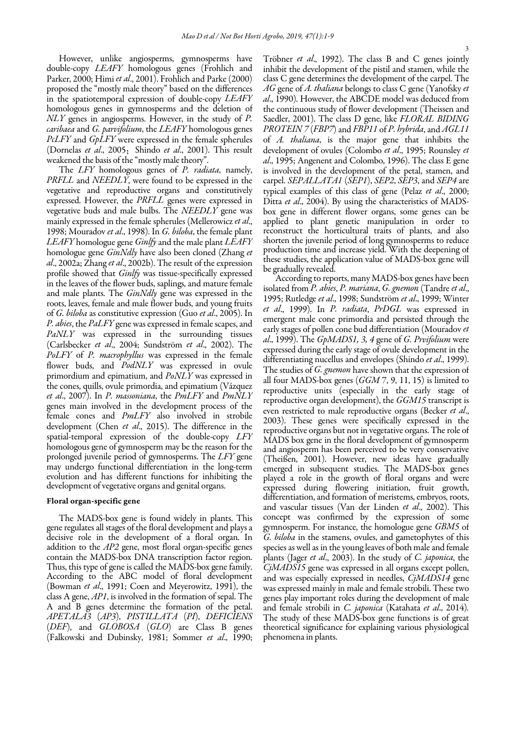However, unlike angiosperms, gymnosperms have double-copy *LEAFY* homologous genes (Frohlich and Parker, 2000; Himi *et al*., 2001). Frohlich and Parke (2000) proposed the "mostly male theory" based on the differences in the spatiotemporal expression of double-copy *LEAFY* homologous genes in gymnosperms and the deletion of *NLY* genes in angiosperms. However, in the study of *P. caribaea* and *G. parvifolium*, the *LEAFY* homologous genes *PcLFY* and *GpLFY* were expressed in the female spherules (Dornelas et al., 2005; Shindo et al., 2001). This result weakened the basis of the "mostly male theory".

The *LFY* homologous genes of *P. radiata*, namely, *PRFLL* and *NEEDLY*, were found to be expressed in the vegetative and reproductive organs and constitutively expressed. However, the *PRFLL* genes were expressed in vegetative buds and male bulbs. The *NEEDLY* gene was mainly expressed in the female spherules (Mellerowicz *et al*., 1998; Mouradov *et al*., 1998). In *G. biloba*, the female plant *LEAFY* homologue gene *Ginlfy* and the male plant *LEAFY* homologue gene *GinNdly* have also been cloned (Zhang *et al*., 2002a; Zhang *et al*., 2002b). The result of the expression profile showed that *Ginlfy* was tissue-specifically expressed in the leaves of the flower buds, saplings, and mature female and male plants. The *GinNdly* gene was expressed in the roots, leaves, female and male flower buds, and young fruits of *G. biloba* as constitutive expression (Guo *et al*., 2005). In *P. abies*, the *PaLFY* gene was expressed in female scapes, and *PaNLY* was expressed in the surrounding tissues (Carlsbecker *et al*., 2004; Sundström *et al*., 2002). The *PoLFY* of *P. macrophyllus* was expressed in the female flower buds, and *PodNLY* was expressed in ovule primordium and epimatium, and *PoNLY* was expressed in the cones, quills, ovule primordia, and epimatium (Vázquez *et al*., 2007). In *P. massoniana*, the *PmLFY* and *PmNLY* genes main involved in the development process of the female cones and *PmLFY* also involved in strobile development (Chen *et al*., 2015). The difference in the spatial-temporal expression of the double-copy *LFY* homologous gene of gymnosperm may be the reason for the prolonged juvenile period of gymnosperms. The *LFY* gene may undergo functional differentiation in the long-term evolution and has different functions for inhibiting the development of vegetative organs and genital organs.

### Floral organ-specific gene

 addition to the *AP2* gene, most floral organ-specific genes The MADS-box gene is found widely in plants. This gene regulates all stages of the floral development and plays a decisive role in the development of a floral organ. In contain the MADS-box DNA transcription factor region. Thus, this type of gene is called the MADS-box gene family. According to the ABC model of floral development (Bowman *et al*., 1991; Coen and Meyerowitz, 1991), the class A gene, *AP1*, is involved in the formation of sepal. The A and B genes determine the formation of the petal. *APETALA3* (*AP3*), *PISTILLATA* (*PI*), *DEFICIENS* (*DEF*), and *GLOBOSA* (*GLO*) are Class B genes (Falkowski and Dubinsky, 1981; Sommer *et al*., 1990; Tröbner *et al*., 1992). The class B and C genes jointly inhibit the development of the pistil and stamen, while the class C gene determines the development of the carpel. The *AG* gene of *A. thaliana* belongs to class C gene (Yanofsky *et al*., 1990). However, the ABCDE model was deduced from the continuous study of flower development (Theissen and Saedler, 2001). The class D gene, like *FLORAL BIDING PROTEIN 7* (*FBP7*) and *FBP11* of *P. hybrida*, and *AGL11* of *A. thaliana*, is the major gene that inhibits the development of ovules (Colombo *et al*., 1995; Rounsley *et al*., 1995; Angenent and Colombo, 1996). The class E gene is involved in the development of the petal, stamen, and carpel. *SEPALLATA1* (*SEP1*), *SEP2*, *SEP3*, and *SEP4* are typical examples of this class of gene (Pelaz *et al*., 2000; Ditta *et al*., 2004). By using the characteristics of MADSbox gene in different flower organs, some genes can be applied to plant genetic manipulation in order to reconstruct the horticultural traits of plants, and also shorten the juvenile period of long gymnosperms to reduce production time and increase yield. With the deepening of these studies, the application value of MADS-box gene will be gradually revealed.

According to reports, many MADS-box genes have been isolated from *P. abies*, *P. mariana*, *G. gnemon* (Tandre *et al*., 1995; Rutledge *et al*., 1998; Sundström *et al*., 1999; Winter *et al*., 1999). In *P. radiata*, *PrDGL* was expressed in emergent male cone primordia and persisted through the early stages of pollen cone bud differentiation (Mouradov *et al*., 1999). The *GpMADS1, 3, 4* gene of *G. Prvifolium* were expressed during the early stage of ovule development in the differentiating nucellus and envelopes (Shindo *et al*., 1999). The studies of *G. gnemon* have shown that the expression of all four MADS-box genes (*GGM* 7, 9, 11, 15) is limited to reproductive units (especially in the early stage of reproductive organ development), the *GGM15* transcript is even restricted to male reproductive organs (Becker *et al*., 2003). These genes were specifically expressed in the reproductive organs but not in vegetative organs. The role of MADS box gene in the floral development of gymnosperm and angiosperm has been perceived to be very conservative (Theißen, 2001). However, new ideas have gradually emerged in subsequent studies. The MADS-box genes played a role in the growth of floral organs and were expressed during flowering initiation, fruit growth, differentiation, and formation of meristems, embryos, roots, and vascular tissues (Van der Linden *et al*., 2002). This concept was confirmed by the expression of some gymnosperm. For instance, the homologue gene *GBM5* of *G. biloba* in the stamens, ovules, and gametophytes of this species as well as in the young leaves of both male and female plants (Jager *et al*., 2003). In the study of *C. japonica*, the *CjMADS15* gene was expressed in all organs except pollen, and was especially expressed in needles, *CjMADS14* gene was expressed mainly in male and female strobili. These two genes play important roles during the development of male and female strobili in *C. japonica* (Katahata *et al*., 2014)*.* The study of these MADS-box gene functions is of great theoretical significance for explaining various physiological phenomena in plants.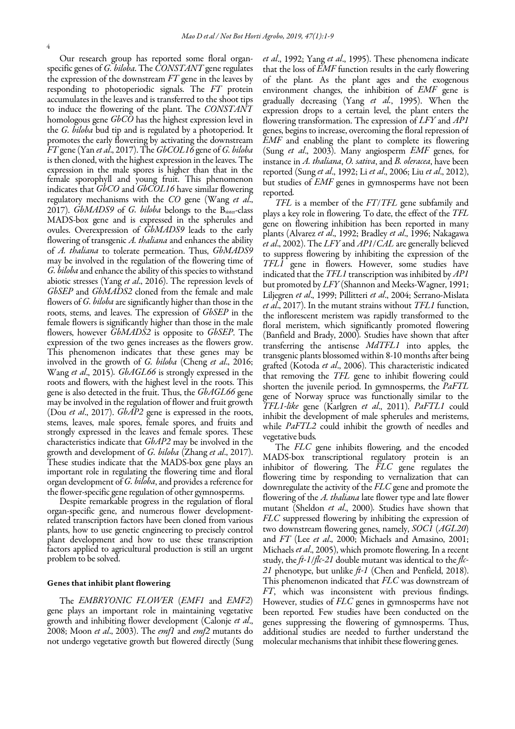Our research group has reported some floral organspecific genes of *G. biloba*. The *CONSTANT* gene regulates the expression of the downstream *FT* gene in the leaves by responding to photoperiodic signals. The *FT* protein accumulates in the leaves and is transferred to the shoot tips to induce the flowering of the plant. The *CONSTANT* homologous gene *GbCO* has the highest expression level in the *G. biloba* bud tip and is regulated by a photoperiod. It promotes the early flowering by activating the downstream *FT* gene (Yan *et al*., 2017). The *GbCOL16* gene of*G. biloba* is then cloned, with the highest expression in the leaves. The expression in the male spores is higher than that in the female sporophyll and young fruit. This phenomenon indicates that *GbCO* and *GbCOL16* have similar flowering regulatory mechanisms with the *CO* gene (Wang *et al*., 2017). *GbMADS9* of *G. biloba* belongs to the B<sub>sister</sub>-class MADS-box gene and is expressed in the spherules and ovules. Overexpression of *GbMADS9* leads to the early flowering of transgenic *A. thaliana* and enhances the ability of *A. thaliana* to tolerate permeation. Thus, *GbMADS9* may be involved in the regulation of the flowering time of *G. biloba* and enhance the ability of this species to withstand abiotic stresses (Yang *et al*., 2016). The repression levels of *GbSEP* and *GbMADS2* cloned from the female and male flowers of *G. biloba* are significantly higher than those in the roots, stems, and leaves. The expression of *GbSEP* in the female flowers is significantly higher than those in the male flowers, however *GbMADS2* is opposite to *GbSEP*. The expression of the two genes increases as the flowers grow. This phenomenon indicates that these genes may be involved in the growth of *G. biloba* (Cheng *et al*., 2016; Wang *et al*., 2015)*. GbAGL66* is strongly expressed in the roots and flowers, with the highest level in the roots. This gene is also detected in the fruit. Thus, the *GbAGL66* gene may be involved in the regulation of flower and fruit growth (Dou *et al*., 2017). *GbAP2* gene is expressed in the roots, stems, leaves, male spores, female spores, and fruits and strongly expressed in the leaves and female spores. These characteristics indicate that *GbAP2* may be involved in the growth and development of *G. biloba* (Zhang *et al*., 2017). These studies indicate that the MADS-box gene plays an important role in regulating the flowering time and floral organ development of *G. biloba*, and provides a reference for the flower-specific gene regulation of other gymnosperms.

Despite remarkable progress in the regulation of floral organ-specific gene, and numerous flower developmentrelated transcription factors have been cloned from various plants, how to use genetic engineering to precisely control plant development and how to use these transcription factors applied to agricultural production is still an urgent problem to be solved.

#### Genes that inhibit plant flowering

The *EMBRYONIC FLOWER* (*EMF1* and *EMF2*) gene plays an important role in maintaining vegetative growth and inhibiting flower development (Calonje *et al*., 2008; Moon *et al*., 2003). The *emf1* and *emf2* mutants do not undergo vegetative growth but flowered directly (Sung *et al*., 1992; Yang *et al*., 1995). These phenomena indicate that the loss of *EMF* function results in the early flowering of the plant*.* As the plant ages and the exogenous environment changes, the inhibition of *EMF* gene is gradually decreasing (Yang *et al.*, 1995). When the expression drops to a certain level, the plant enters the flowering transformation. The expression of *LFY* and *AP1* genes, begins to increase, overcoming the floral repression of *EMF* and enabling the plant to complete its flowering (Sung *et al*., 2003). Many angiosperm *EMF* genes, for instance in *A. thaliana*, *O. sativa*, and *B. oleracea*, have been reported (Sung *et al*., 1992; Li *et al*., 2006; Liu *et al*., 2012), but studies of *EMF* genes in gymnosperms have not been reported*.* 

*TFL* is a member of the *FT*/*TFL* gene subfamily and plays a key role in flowering. To date, the effect of the *TFL* gene on flowering inhibition has been reported in many plants (Alvarez *et al*., 1992; Bradley *et al*., 1996; Nakagawa *et al*., 2002). The *LFY* and *AP1*/*CAL* are generally believed to suppress flowering by inhibiting the expression of the *TFL1* gene in flowers. However, some studies have indicated that the *TFL1* transcription was inhibited by *AP1* but promoted by *LFY* (Shannon and Meeks-Wagner, 1991; Liljegren *et al*., 1999; Pillitteri *et al*., 2004; Serrano-Mislata *et al*., 2017). In the mutant strains without *TFL1* function, the inflorescent meristem was rapidly transformed to the floral meristem, which significantly promoted flowering (Banfield and Brady, 2000)*.* Studies have shown that after transferring the antisense *MdTFL1* into apples, the transgenic plants blossomed within 8-10 months after being grafted (Kotoda *et al*., 2006). This characteristic indicated that removing the *TFL* gene to inhibit flowering could shorten the juvenile period. In gymnosperms, the *PaFTL* gene of Norway spruce was functionally similar to the *TFL1-like* gene (Karlgren *et al*., 2011). *PaFTL1* could inhibit the development of male spherules and meristems, while *PaFTL2* could inhibit the growth of needles and vegetative buds*.* 

The *FLC* gene inhibits flowering, and the encoded MADS-box transcriptional regulatory protein is an inhibitor of flowering. The *FLC* gene regulates the flowering time by responding to vernalization that can downregulate the activity of the *FLC* gene and promote the flowering of the *A. thaliana* late flower type and late flower mutant (Sheldon *et al*., 2000)*.* Studies have shown that *FLC* suppressed flowering by inhibiting the expression of two downstream flowering genes, namely, *SOC1* (*AGL20*) and *FT* (Lee *et al*., 2000; Michaels and Amasino, 2001; Michaels *et al*., 2005), which promote flowering. In a recent study, the *ft-1*/*flc-21* double mutant was identical to the *flc-21* phenotype, but unlike *ft-1* (Chen and Penfield, 2018). This phenomenon indicated that *FLC* was downstream of *FT*, which was inconsistent with previous findings. However, studies of *FLC* genes in gymnosperms have not been reported*.* Few studies have been conducted on the genes suppressing the flowering of gymnosperms. Thus, additional studies are needed to further understand the molecular mechanisms that inhibit these flowering genes.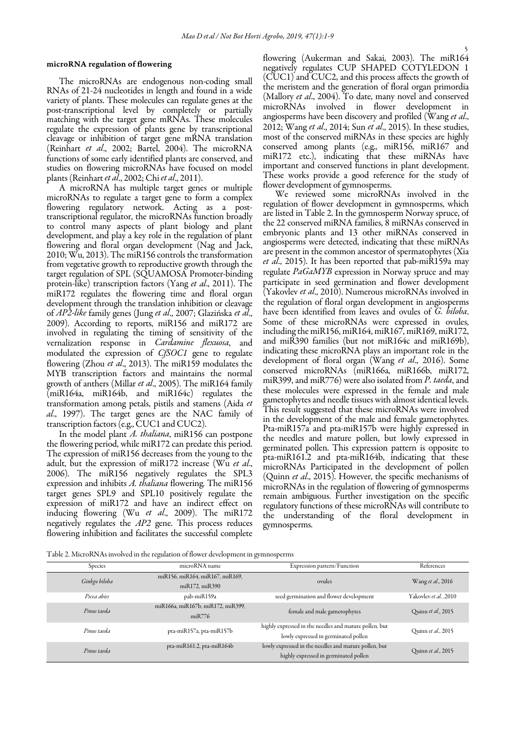The microRNAs are endogenous non-coding small RNAs of 21-24 nucleotides in length and found in a wide variety of plants. These molecules can regulate genes at the post-transcriptional level by completely or partially matching with the target gene mRNAs. These molecules regulate the expression of plants gene by transcriptional cleavage or inhibition of target gene mRNA translation (Reinhart *et al*., 2002; Bartel, 2004). The microRNA functions of some early identified plants are conserved, and studies on flowering microRNAs have focused on model plants (Reinhart *et al*., 2002; Chi *et al*., 2011).

A microRNA has multiple target genes or multiple microRNAs to regulate a target gene to form a complex flowering regulatory network. Acting as a posttranscriptional regulator, the microRNAs function broadly to control many aspects of plant biology and plant development, and play a key role in the regulation of plant flowering and floral organ development (Nag and Jack, 2010; Wu, 2013). The miR156 controls the transformation from vegetative growth to reproductive growth through the target regulation of SPL (SQUAMOSA Promoter-binding protein-like) transcription factors (Yang *et al*., 2011). The miR172 regulates the flowering time and floral organ development through the translation inhibition or cleavage of *AP2-like* family genes (Jung *et al*., 2007; Glazińska *et al*., 2009). According to reports, miR156 and miR172 are involved in regulating the timing of sensitivity of the vernalization response in *Cardamine flexuosa*, and modulated the expression of *CfSOC1* gene to regulate flowering (Zhou *et al*., 2013). The miR159 modulates the MYB transcription factors and maintains the normal growth of anthers (Millar *et al*., 2005). The miR164 family (miR164a, miR164b, and miR164c) regulates the transformation among petals, pistils and stamens (Aida *et al*., 1997). The target genes are the NAC family of transcription factors (e.g., CUC1 and CUC2).

 the flowering period, while miR172 can predate this period. In the model plant *A. thaliana*, miR156 can postpone The expression of miR156 decreases from the young to the adult, but the expression of miR172 increase (Wu *et al*., 2006). The miR156 negatively regulates the SPL3 expression and inhibits *A. thaliana* flowering. The miR156 target genes SPL9 and SPL10 positively regulate the expression of miR172 and have an indirect effect on inducing flowering (Wu *et al*., 2009). The miR172 negatively regulates the *AP2* gene. This process reduces flowering inhibition and facilitates the successful complete flowering (Aukerman and Sakai, 2003). The miR164 negatively regulates CUP SHAPED COTYLEDON 1 (CUC1) and CUC2, and this process affects the growth of the meristem and the generation of floral organ primordia (Mallory *et al*., 2004). To date, many novel and conserved microRNAs involved in flower development in angiosperms have been discovery and profiled (Wang *et al*., 2012; Wang *et al*., 2014; Sun *et al*., 2015). In these studies, most of the conserved miRNAs in these species are highly conserved among plants (e.g., miR156, miR167 and miR172 etc.), indicating that these miRNAs have important and conserved functions in plant development. These works provide a good reference for the study of flower development of gymnosperms.

We reviewed some microRNAs involved in the regulation of flower development in gymnosperms, which are listed in Table 2. In the gymnosperm Norway spruce, of the 22 conserved miRNA families, 8 miRNAs conserved in embryonic plants and 13 other miRNAs conserved in angiosperms were detected, indicating that these miRNAs are present in the common ancestor of spermatophytes (Xia *et al*., 2015). It has been reported that pab-miR159a may regulate *PaGaMYB* expression in Norway spruce and may participate in seed germination and flower development (Yakovlev *et al*., 2010). Numerous microRNAs involved in the regulation of floral organ development in angiosperms have been identified from leaves and ovules of *G. biloba*. Some of these microRNAs were expressed in ovules, including the miR156, miR164, miR167, miR169, miR172, and miR390 families (but not miR164c and miR169b), indicating these microRNA plays an important role in the development of floral organ (Wang *et al*., 2016). Some conserved microRNAs (miR166a, miR166b, miR172, miR399, and miR776) were also isolated from *P. taeda*, and these molecules were expressed in the female and male gametophytes and needle tissues with almost identical levels. This result suggested that these microRNAs were involved in the development of the male and female gametophytes. Pta-miR157a and pta-miR157b were highly expressed in the needles and mature pollen, but lowly expressed in germinated pollen. This expression pattern is opposite to pta-miR161.2 and pta-miR164b, indicating that these microRNAs Participated in the development of pollen (Quinn *et al*., 2015). However, the specific mechanisms of microRNAs in the regulation of flowering of gymnosperms remain ambiguous. Further investigation on the specific regulatory functions of these microRNAs will contribute to the understanding of the floral development in gymnosperms.

Table 2. MicroRNAs involved in the regulation of flower development in gymnosperms

| <b>Species</b> | microRNA name                     | Expression pattern/Function                            | References                 |  |
|----------------|-----------------------------------|--------------------------------------------------------|----------------------------|--|
| Ginkgo biloba  | miR156, miR164, miR167, miR169,   | ovules                                                 | Wang et al., 2016          |  |
|                | miR172, miR390                    |                                                        |                            |  |
| Picea abies    | pab-miR159a                       | seed germination and flower development                | Yakovlev et al., 2010      |  |
| Pinus taeda    | miR166a, miR167b, miR172, miR399, | female and male gametophytes                           | Quinn et al., 2015         |  |
|                | miR776                            |                                                        |                            |  |
| Pinus taeda    | pta-miR157a, pta-miR157b          | highly expressed in the needles and mature pollen, but | Quinn et al., 2015         |  |
|                |                                   | lowly expressed in germinated pollen                   |                            |  |
| Pinus taeda    | pta-miR161.2, pta-miR164b         | lowly expressed in the needles and mature pollen, but  | Quinn <i>et al.</i> , 2015 |  |
|                |                                   | highly expressed in germinated pollen                  |                            |  |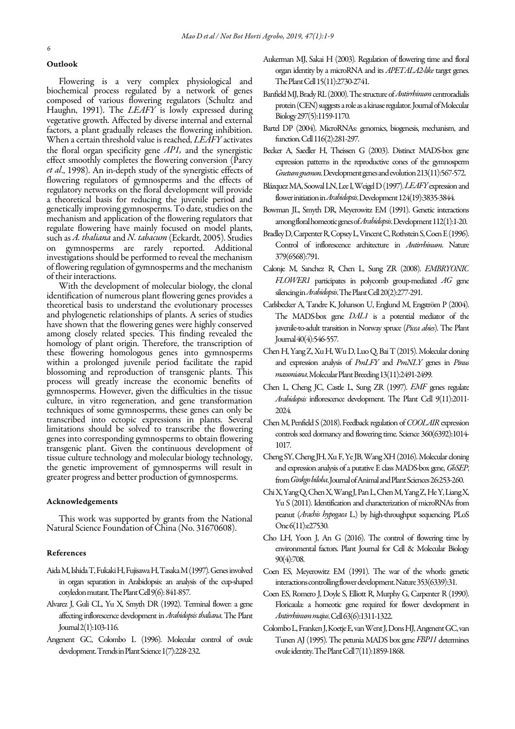## Outlook

Flowering is a very complex physiological and biochemical process regulated by a network of genes composed of various flowering regulators (Schultz and Haughn, 1991). The *LEAFY* is lowly expressed during vegetative growth. Affected by diverse internal and external factors, a plant gradually releases the flowering inhibition. When a certain threshold value is reached, *LEAFY* activates the floral organ specificity gene *AP1,* and the synergistic effect smoothly completes the flowering conversion (Parcy *et al*., 1998). An in-depth study of the synergistic effects of flowering regulators of gymnosperms and the effects of regulatory networks on the floral development will provide a theoretical basis for reducing the juvenile period and genetically improving gymnosperms. To date, studies on the mechanism and application of the flowering regulators that regulate flowering have mainly focused on model plants, such as *A. thaliana* and *N. tabacum* (Eckardt, 2005). Studies on gymnosperms are rarely reported. Additional investigations should be performed to reveal the mechanism of flowering regulation of gymnosperms and the mechanism of their interactions.

With the development of molecular biology, the clonal identification of numerous plant flowering genes provides a theoretical basis to understand the evolutionary processes and phylogenetic relationships of plants. A series of studies have shown that the flowering genes were highly conserved among closely related species. This finding revealed the homology of plant origin. Therefore, the transcription of these flowering homologous genes into gymnosperms within a prolonged juvenile period facilitate the rapid blossoming and reproduction of transgenic plants. This process will greatly increase the economic benefits of gymnosperms. However, given the difficulties in the tissue culture, in vitro regeneration, and gene transformation techniques of some gymnosperms, these genes can only be transcribed into ectopic expressions in plants. Several limitations should be solved to transcribe the flowering genes into corresponding gymnosperms to obtain flowering transgenic plant. Given the continuous development of tissue culture technology and molecular biology technology, the genetic improvement of gymnosperms will result in greater progress and better production of gymnosperms.

#### Acknowledgements

This work was supported by grants from the National Natural Science Foundation of China (No. 31670608).

#### References

- Aida M, Ishida T, Fukaki H, Fujisawa H, Tasaka M (1997). Genes involved in organ separation in Arabidopsis: an analysis of the cup-shaped cotyledon mutant. The Plant Cell 9(6): 841-857.
- Alvarez J, Guli CL, Yu X, Smyth DR (1992). Terminal flower: a gene affecting inflorescence development in *Arabidopsis thaliana*. The Plant Journal 2(1):103*-*116.
- Angenent GC, Colombo L (1996). Molecular control of ovule development. Trends in Plant Science 1(7):228*-*232.
- Aukerman MJ, Sakai H (2003). Regulation of flowering time and floral organ identity by a microRNA and its *APETALA2-like* target genes. The Plant Cell 15(11):2730-2741.
- Banfield MJ, Brady RL (2000). The structure of *Antirrhinum* centroradialis protein (CEN) suggests a role as a kinase regulator. Journal of Molecular Biology 297(5):1159-1170.
- Bartel DP (2004). MicroRNAs: genomics, biogenesis, mechanism, and function. Cell 116(2):281-297.
- Becker A, Saedler H, Theissen G (2003). Distinct MADS-box gene expression patterns in the reproductive cones of the gymnosperm *Gnetum gnemon*. Development genes and evolution 213(11):567-572.
- Blázquez MA, Soowal LN, Lee I, Weigel D (1997). *LEAFY*expression and flower initiation in *Arabidopsis*. Development 124(19):3835-3844.
- Bowman JL, Smyth DR, Meyerowitz EM (1991). Genetic interactions among floral homeotic genes of *Arabidopsis*. Development 112(1):1-20.
- Bradley D, Carpenter R, Copsey L, Vincent C, Rothstein S, Coen E (1996). Control of inflorescence architecture in *Antirrhinum*. Nature 379(6568):791.
- Calonje M, Sanchez R, Chen L, Sung ZR (2008). *EMBRYONIC FLOWER1* participates in polycomb group-mediated *AG* gene silencing in *Arabidopsis*. The Plant Cell 20(2):277-291.
- Carlsbecker A, Tandre K, Johanson U, Englund M, Engström P (2004). The MADS-box gene *DAL1* is a potential mediator of the juvenile‐to‐adult transition in Norway spruce (*Picea abies*). The Plant Journal 40(4):546-557.
- Chen H, Yang Z, Xu H, Wu D, Luo Q, Bai T (2015). Molecular cloning and expression analysis of *PmLFY* and *PmNLY* genes in *Pinus massoniana*. Molecular Plant Breeding 13(11):2491-2499.
- Chen L, Cheng JC, Castle L, Sung ZR (1997). *EMF* genes regulate *Arabidopsis* inflorescence development. The Plant Cell 9(11):2011- 2024.
- Chen M, Penfield S (2018). Feedback regulation of *COOLAIR*expression controls seed dormancy and flowering time. Science 360(6392):1014- 1017.
- Cheng SY, Cheng JH, Xu F, Ye JB, Wang XH (2016). Molecular cloning and expression analysis of a putative E class MADS-box gene, *GbSEP*, from *Ginkgo biloba*. Journal of Animal and Plant Sciences 26:253-260.
- Chi X, Yang Q, Chen X, Wang J, Pan L, Chen M, Yang Z, He Y, Liang X, Yu S (2011). Identification and characterization of microRNAs from peanut (*Arachis hypogaea* L.) by high-throughput sequencing. PLoS One 6(11):e27530.
- Cho LH, Yoon J, An G (2016). The control of flowering time by environmental factors. Plant Journal for Cell & Molecular Biology 90(4):708.
- Coen ES, Meyerowitz EM (1991). The war of the whorls: genetic interactions controlling flower development. Nature 353(6339):31.
- Coen ES, Romero J, Doyle S, Elliott R, Murphy G, Carpenter R (1990). Floricaula: a homeotic gene required for flower development in *Antirrhinum majus*. Cell 63(6):1311-1322.
- Colombo L, Franken J, Koetje E, van Went J, Dons HJ, Angenent GC, van Tunen AJ (1995). The petunia MADS box gene *FBP11* determines ovule identity. The Plant Cell 7(11):1859-1868.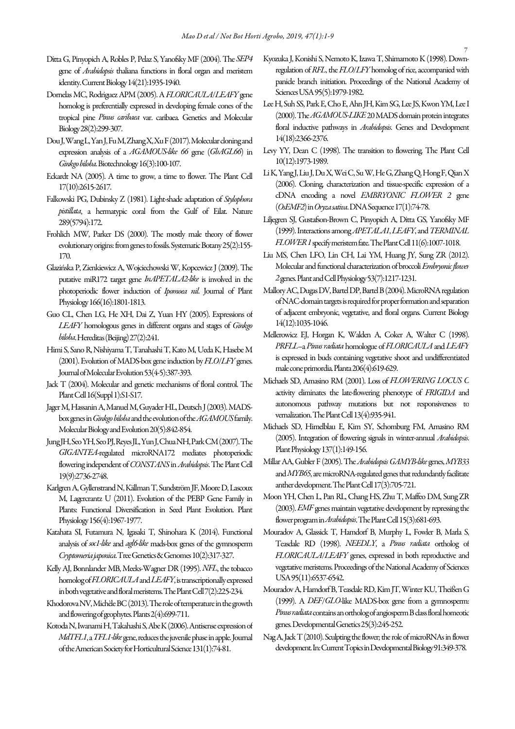- Ditta G, Pinyopich A, Robles P, Pelaz S, Yanofsky MF (2004). The *SEP4* gene of *Arabidopsis* thaliana functions in floral organ and meristem identity. Current Biology 14(21):1935-1940.
- Dornelas MC, Rodriguez APM (2005). A *FLORICAULA*/*LEAFY*gene homolog is preferentially expressed in developing female cones of the tropical pine *Pinus caribaea* var. caribaea. Genetics and Molecular Biology 28(2):299-307.
- Dou J, Wang L, Yan J, Fu M, Zhang X, Xu F (2017). Molecular cloning and expression analysis of a *AGAMOUS-like 66* gene (*GbAGL66*) in *Ginkgo biloba*. Biotechnology 16(3):100-107.
- Eckardt NA (2005). A time to grow, a time to flower. The Plant Cell 17(10):2615-2617.
- Falkowski PG, Dubinsky Z (1981). Light-shade adaptation of *Stylophora pistillata*, a hermatypic coral from the Gulf of Eilat. Nature 289(5794):172.
- Frohlich MW, Parker DS (2000). The mostly male theory of flower evolutionary origins: from genes to fossils. Systematic Botany 25(2):155- 170.
- Glazińska P, Zienkiewicz A, Wojciechowski W, Kopcewicz J (2009). The putative miR172 target gene *InAPETALA2-like* is involved in the photoperiodic flower induction of *Ipomoea nil*. Journal of Plant Physiology 166(16):1801-1813.
- Guo CL, Chen LG, He XH, Dai Z, Yuan HY (2005). Expressions of *LEAFY* homologous genes in different organs and stages of *Ginkgo biloba*. Hereditas (Beijing) 27(2):241.
- Himi S, Sano R, Nishiyama T, Tanahashi T, Kato M, Ueda K, Hasebe M (2001). Evolution of MADS-box gene induction by *FLO*/*LFY*genes. Journal of Molecular Evolution 53(4-5):387-393.
- Jack T (2004). Molecular and genetic mechanisms of floral control. The Plant Cell 16(Suppl 1):S1-S17.
- Jager M, Hassanin A, Manuel M, Guyader HL, Deutsch J (2003). MADSbox genes in *Ginkgo biloba* and the evolution of the *AGAMOUS*family. Molecular Biology and Evolution 20(5):842-854.
- Jung JH, Seo YH, Seo PJ, Reyes JL, Yun J, Chua NH, Park CM (2007). The *GIGANTEA*-regulated microRNA172 mediates photoperiodic flowering independent of *CONSTANS* in *Arabidopsis*. The Plant Cell 19(9):2736-2748.
- Karlgren A, Gyllenstrand N, Källman T, Sundström JF, Moore D, Lascoux M, Lagercrantz U (2011). Evolution of the PEBP Gene Family in Plants: Functional Diversification in Seed Plant Evolution. Plant Physiology 156(4):1967-1977.
- Katahata SI, Futamura N, Igasaki T, Shinohara K (2014). Functional analysis of *soc1-like* and *agl6-like* mads-box genes of the gymnosperm *Cryptomeria japonica*. Tree Genetics & Genomes 10(2):317-327.
- Kelly AJ, Bonnlander MB, Meeks-Wagner DR (1995). *NFL*, the tobacco homolog of *FLORICAULA* and *LEAFY*, is transcriptionally expressed in both vegetative and floral meristems. The Plant Cell 7(2):225-234.
- Khodorova NV, Michèle BC (2013). The role of temperature in the growth and flowering of geophytes. Plants 2(4):699-711.
- Kotoda N, Iwanami H, Takahashi S, Abe K (2006). Antisense expression of *MdTFL1*, a *TFL1-like*gene, reduces the juvenile phase in apple. Journal of the American Society for Horticultural Science 131(1):74-81.
- Kyozuka J, Konishi S, Nemoto K, Izawa T, Shimamoto K (1998). Downregulation of *RFL*, the *FLO*/*LFY*homolog of rice, accompanied with panicle branch initiation. Proceedings of the National Academy of Sciences USA 95(5):1979-1982.
- Lee H, Suh SS, Park E, Cho E, Ahn JH, Kim SG, Lee JS, Kwon YM, Lee I (2000). The *AGAMOUS-LIKE*20 MADS domain protein integrates floral inductive pathways in *Arabidopsis*. Genes and Development 14(18):2366-2376.
- Levy YY, Dean C (1998). The transition to flowering. The Plant Cell 10(12):1973-1989.
- Li K, Yang J, Liu J, Du X, Wei C, Su W, He G, Zhang Q, Hong F, Qian X (2006). Cloning, characterization and tissue-specific expression of a cDNA encoding a novel *EMBRYONIC FLOWER 2* gene (*OsEMF2*) in *Oryza sativa*. DNA Sequence 17(1):74-78.
- Liljegren SJ, Gustafson-Brown C, Pinyopich A, Ditta GS, Yanofsky MF (1999). Interactions among *APETALA1*, *LEAFY*, and *TERMINAL FLOWER 1* specify meristem fate. The Plant Cell 11(6):1007-1018.
- Liu MS, Chen LFO, Lin CH, Lai YM, Huang JY, Sung ZR (2012). Molecular and functional characterization of broccoli*Embryonic flower 2* genes. Plant and Cell Physiology 53(7):1217-1231.
- Mallory AC, Dugas DV, Bartel DP, Bartel B (2004). MicroRNA regulation of NAC-domain targets is required for proper formation and separation of adjacent embryonic, vegetative, and floral organs. Current Biology 14(12):1035-1046.
- Mellerowicz EJ, Horgan K, Walden A, Coker A, Walter C (1998). *PRFLL*–a *Pinus radiata* homologue of *FLORICAULA* and *LEAFY* is expressed in buds containing vegetative shoot and undifferentiated male cone primordia. Planta 206(4):619-629.
- Michaels SD, Amasino RM (2001). Loss of *FLOWERING LOCUS C* activity eliminates the late-flowering phenotype of *FRIGIDA* and autonomous pathway mutations but not responsiveness to vernalization. The Plant Cell 13(4):935-941.
- Michaels SD, Himelblau E, Kim SY, Schomburg FM, Amasino RM (2005). Integration of flowering signals in winter-annual *Arabidopsis*. Plant Physiology 137(1):149-156.
- Millar AA, Gubler F (2005). The *ArabidopsisGAMYB-like* genes, *MYB33* and *MYB65*, are microRNA-regulated genes that redundantly facilitate anther development. The Plant Cell 17(3):705-721.
- Moon YH, Chen L, Pan RL, Chang HS, Zhu T, Maffeo DM, Sung ZR (2003). *EMF* genes maintain vegetative development by repressing the flower program in *Arabidopsis*. The Plant Cell 15(3):681-693.
- Mouradov A, Glassick T, Hamdorf B, Murphy L, Fowler B, Marla S, Teasdale RD (1998). *NEEDLY*, a *Pinus radiata* ortholog of *FLORICAULA*/*LEAFY* genes, expressed in both reproductive and vegetative meristems. Proceedings of the National Academy of Sciences USA 95(11):6537-6542.
- Mouradov A, Hamdorf B, Teasdale RD, Kim JT, Winter KU, Theißen G (1999). A *DEF*/*GLO*‐like MADS‐box gene from a gymnosperm: *Pinus radiata*contains an ortholog of angiosperm B class floral homeotic genes. Developmental Genetics 25(3):245*-*252.
- Nag A, Jack T (2010). Sculpting the flower; the role of microRNAs in flower development. In: Current Topics in Developmental Biology 91:349-378.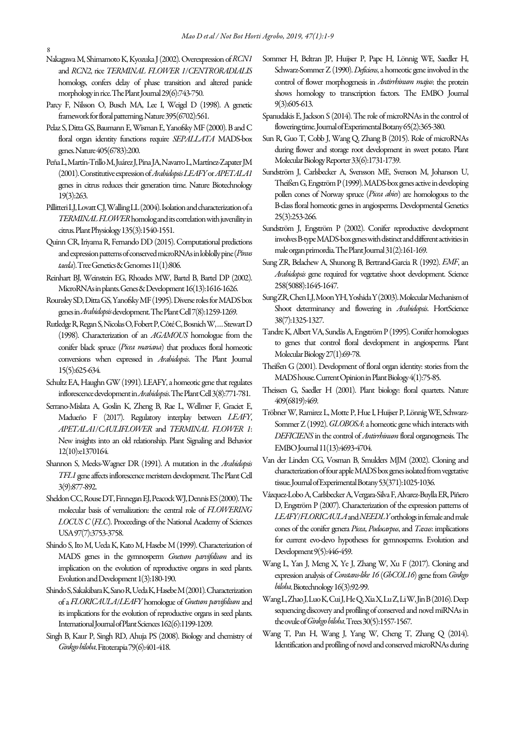- Nakagawa M, Shimamoto K, Kyozuka J (2002). Overexpression of *RCN1* and *RCN2*, rice *TERMINAL FLOWER 1*/*CENTRORADIALIS* homologs, confers delay of phase transition and altered panicle morphology in rice. The Plant Journal 29(6):743-750.
- Parcy F, Nilsson O, Busch MA, Lee I, Weigel D (1998). A genetic framework for floral patterning. Nature 395(6702):561.
- Pelaz S, Ditta GS, Baumann E, Wisman E, Yanofsky MF (2000). B and C floral organ identity functions require *SEPALLATA* MADS-box genes. Nature 405(6783):200.
- Peña L, Martín-Trillo M, Juárez J, Pina JA, Navarro L, Martínez-Zapater JM (2001). Constitutive expression of *ArabidopsisLEAFY* or *APETALA1* genes in citrus reduces their generation time. Nature Biotechnology 19(3):263.
- Pillitteri LJ, Lovatt CJ, Walling LL (2004). Isolation and characterization of a *TERMINAL FLOWER*homolog and its correlation with juvenility in citrus. Plant Physiology 135(3):1540-1551.
- Quinn CR, Iriyama R, Fernando DD (2015). Computational predictions and expression patterns of conserved microRNAs in loblolly pine (*Pinus taeda*). Tree Genetics & Genomes 11(1):806.
- Reinhart BJ, Weinstein EG, Rhoades MW, Bartel B, Bartel DP (2002). MicroRNAs in plants. Genes & Development 16(13):1616-1626.
- Rounsley SD, Ditta GS, Yanofsky MF (1995). Diverse roles for MADS box genes in *Arabidopsis* development. The Plant Cell 7(8):1259-1269.
- Rutledge R, Regan S, Nicolas O, Fobert P, Côté C, Bosnich W, … Stewart D (1998). Characterization of an *AGAMOUS* homologue from the conifer black spruce (*Picea mariana*) that produces floral homeotic conversions when expressed in *Arabidopsis*. The Plant Journal 15(5):625-634.
- Schultz EA, Haughn GW (1991). LEAFY, a homeotic gene that regulates inflorescence development in *Arabidopsis*. The Plant Cell 3(8):771-781.
- Serrano-Mislata A, Goslin K, Zheng B, Rae L, Wellmer F, Graciet E, Madueño F (2017). Regulatory interplay between *LEAFY*, *APETALA1*/*CAULIFLOWER* and *TERMINAL FLOWER 1*: New insights into an old relationship. Plant Signaling and Behavior 12(10):e1370164.
- Shannon S, Meeks-Wagner DR (1991). A mutation in the *Arabidopsis TFL1*gene affects inflorescence meristem development. The Plant Cell 3(9):877-892.
- Sheldon CC, Rouse DT, Finnegan EJ, Peacock WJ, Dennis ES (2000). The molecular basis of vernalization: the central role of *FLOWERING LOCUS C* (*FLC*). Proceedings of the National Academy of Sciences USA 97(7):3753-3758.
- Shindo S, Ito M, Ueda K, Kato M, Hasebe M (1999). Characterization of MADS genes in the gymnosperm *Gnetum parvifolium* and its implication on the evolution of reproductive organs in seed plants. Evolution and Development 1(3):180-190.
- Shindo S, Sakakibara K, Sano R, Ueda K, Hasebe M (2001). Characterization of a *FLORICAULA*/*LEAFY* homologue of *Gnetum parvifolium* and its implications for the evolution of reproductive organs in seed plants. International Journal of Plant Sciences 162(6):1199-1209.
- Singh B, Kaur P, Singh RD, Ahuja PS (2008). Biology and chemistry of *Ginkgo biloba*. Fitoterapia 79(6):401-418.
- Sommer H, Beltran JP, Huijser P, Pape H, Lönnig WE, Saedler H, Schwarz‐Sommer Z (1990). *Deficiens*, a homeotic gene involved in the control of flower morphogenesis in *Antirrhinum majus*: the protein shows homology to transcription factors. The EMBO Journal 9(3):605-613.
- Spanudakis E, Jackson S (2014). The role of microRNAs in the control of flowering time. Journal of Experimental Botany 65(2):365-380.
- Sun R, Guo T, Cobb J, Wang Q, Zhang B (2015). Role of microRNAs during flower and storage root development in sweet potato. Plant Molecular Biology Reporter 33(6):1731-1739.
- Sundström J, Carlsbecker A, Svensson ME, Svenson M, Johanson U, Theißen G, Engström P (1999). MADS‐box genes active in developing pollen cones of Norway spruce (*Picea abies*) are homologous to the B‐class floral homeotic genes in angiosperms. Developmental Genetics 25(3):253-266.
- Sundström J, Engström P (2002). Conifer reproductive development involves B‐type MADS‐box genes with distinct and different activities in male organ primordia. The Plant Journal 31(2):161-169.
- Sung ZR, Belachew A, Shunong B, Bertrand-Garcia R (1992). *EMF*, an *Arabidopsis* gene required for vegetative shoot development. Science 258(5088):1645-1647.
- Sung ZR, Chen LJ, Moon YH, Yoshida Y (2003). Molecular Mechanism of Shoot determinancy and flowering in *Arabidopsis*. HortScience 38(7):1325-1327.
- Tandre K, Albert VA, Sundås A, Engström P (1995). Conifer homologues to genes that control floral development in angiosperms. Plant Molecular Biology 27(1):69*-*78.
- Theißen G (2001). Development of floral organ identity: stories from the MADS house. Current Opinion in Plant Biology 4(1):75*-*85.
- Theissen G, Saedler H (2001). Plant biology: floral quartets. Nature 409(6819):469.
- Tröbner W, Ramirez L, Motte P, Hue I, Huijser P, Lönnig WE, Schwarz-Sommer Z (1992). *GLOBOSA*: a homeotic gene which interacts with *DEFICIENS* in the control of *Antirrhinum* floral organogenesis. The EMBO Journal 11(13):4693*-*4704.
- Van der Linden CG, Vosman B, Smulders MJM (2002). Cloning and characterization of four apple MADS box genes isolated from vegetative tissue. Journal of Experimental Botany 53(371):1025*-*1036.
- Vázquez‐Lobo A, Carlsbecker A, Vergara‐Silva F, Alvarez‐Buylla ER, Piñero D, Engström P (2007). Characterization of the expression patterns of *LEAFY*/*FLORICAULA* and *NEEDLY*orthologs in female and male cones of the conifer genera *Picea*, *Podocarpus*, and *Taxus*: implications for current evo-devo hypotheses for gymnosperms. Evolution and Development 9(5):446*-*459.
- Wang L, Yan J, Meng X, Ye J, Zhang W, Xu F (2017). Cloning and expression analysis of *Constans-like 16* (*GbCOL16*) gene from *Ginkgo biloba*. Biotechnology 16(3):92-99.
- Wang L, Zhao J, Luo K, Cui J, He Q, Xia X, Lu Z, Li W, Jin B (2016). Deep sequencing discovery and profiling of conserved and novel miRNAs in the ovule of *Ginkgo biloba*. Trees 30(5):1557-1567.
- Wang T, Pan H, Wang J, Yang W, Cheng T, Zhang Q (2014). Identification and profiling of novel and conserved microRNAs during